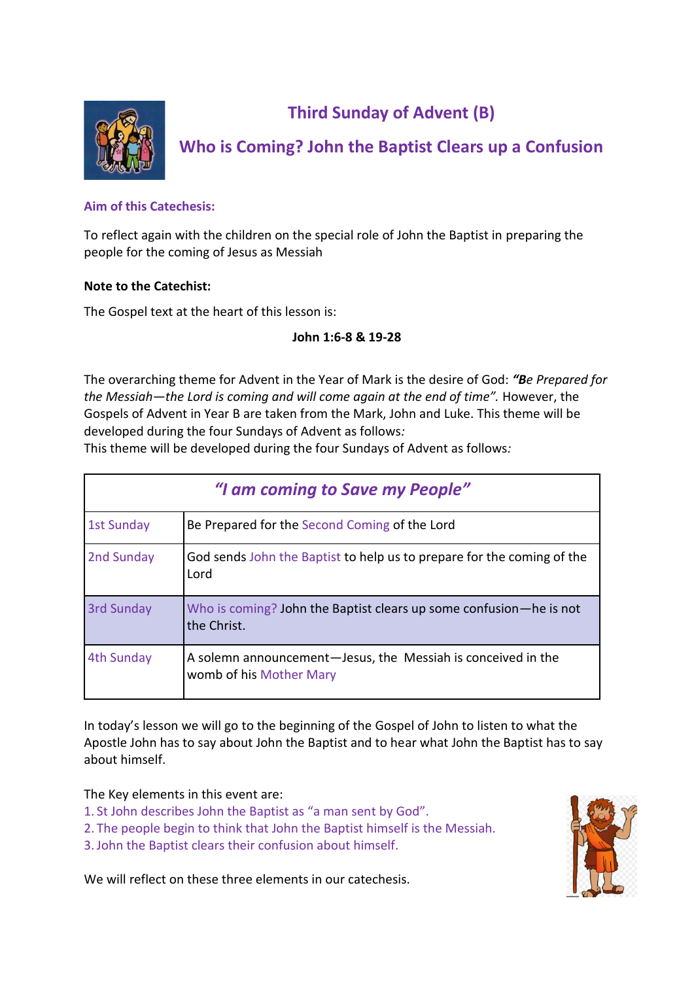

# **Third Sunday of Advent (B)**

# **Who is Coming? John the Baptist Clears up a Confusion**

## **Aim of this Catechesis:**

To reflect again with the children on the special role of John the Baptist in preparing the people for the coming of Jesus as Messiah

## **Note to the Catechist:**

The Gospel text at the heart of this lesson is:

## **John 1:6-8 & 19-28**

The overarching theme for Advent in the Year of Mark is the desire of God: *"Be Prepared for the Messiah—the Lord is coming and will come again at the end of time".* However, the Gospels of Advent in Year B are taken from the Mark, John and Luke. This theme will be developed during the four Sundays of Advent as follows*:*

This theme will be developed during the four Sundays of Advent as follows*:*

| "I am coming to Save my People" |                                                                                         |  |
|---------------------------------|-----------------------------------------------------------------------------------------|--|
| <b>1st Sunday</b>               | Be Prepared for the Second Coming of the Lord                                           |  |
| 2nd Sunday                      | God sends John the Baptist to help us to prepare for the coming of the<br>Lord          |  |
| 3rd Sunday                      | Who is coming? John the Baptist clears up some confusion—he is not<br>the Christ.       |  |
| 4th Sunday                      | A solemn announcement-Jesus, the Messiah is conceived in the<br>womb of his Mother Mary |  |

In today's lesson we will go to the beginning of the Gospel of John to listen to what the Apostle John has to say about John the Baptist and to hear what John the Baptist has to say about himself.

The Key elements in this event are:

- 1. St John describes John the Baptist as "a man sent by God".
- 2. The people begin to think that John the Baptist himself is the Messiah.
- 3.John the Baptist clears their confusion about himself.

We will reflect on these three elements in our catechesis.

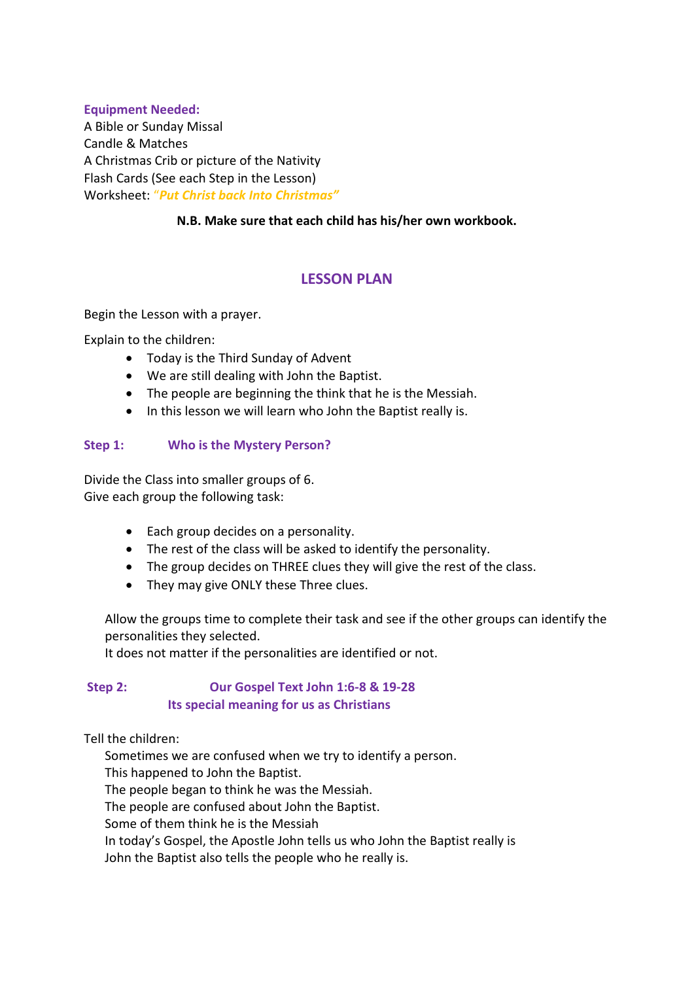#### **Equipment Needed:**

A Bible or Sunday Missal Candle & Matches A Christmas Crib or picture of the Nativity Flash Cards (See each Step in the Lesson) Worksheet: "*Put Christ back Into Christmas"*

## **N.B. Make sure that each child has his/her own workbook.**

## **LESSON PLAN**

Begin the Lesson with a prayer.

Explain to the children:

- Today is the Third Sunday of Advent
- We are still dealing with John the Baptist.
- The people are beginning the think that he is the Messiah.
- In this lesson we will learn who John the Baptist really is.

## **Step 1: Who is the Mystery Person?**

Divide the Class into smaller groups of 6. Give each group the following task:

- Each group decides on a personality.
- The rest of the class will be asked to identify the personality.
- The group decides on THREE clues they will give the rest of the class.
- They may give ONLY these Three clues.

Allow the groups time to complete their task and see if the other groups can identify the personalities they selected.

It does not matter if the personalities are identified or not.

## **Step 2: Our Gospel Text John 1:6-8 & 19-28 Its special meaning for us as Christians**

Tell the children:

Sometimes we are confused when we try to identify a person.

This happened to John the Baptist.

The people began to think he was the Messiah.

The people are confused about John the Baptist.

Some of them think he is the Messiah

In today's Gospel, the Apostle John tells us who John the Baptist really is

John the Baptist also tells the people who he really is.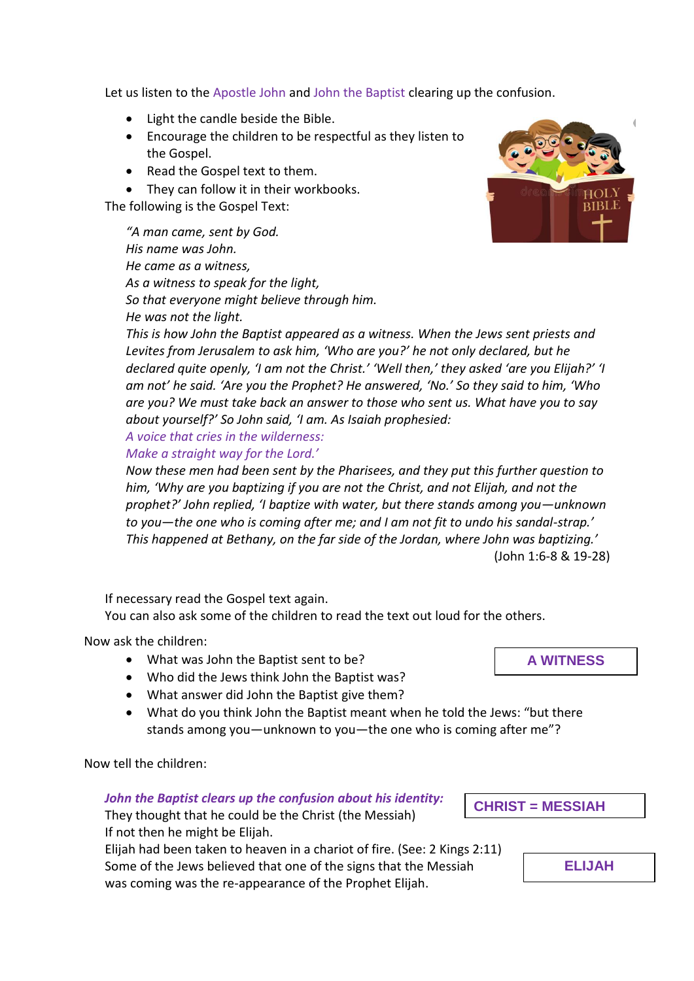Let us listen to the Apostle John and John the Baptist clearing up the confusion.

- Light the candle beside the Bible.
- Encourage the children to be respectful as they listen to the Gospel.
- Read the Gospel text to them.
- They can follow it in their workbooks.

The following is the Gospel Text:

*"A man came, sent by God. His name was John. He came as a witness, As a witness to speak for the light, So that everyone might believe through him. He was not the light.*

*This is how John the Baptist appeared as a witness. When the Jews sent priests and Levites from Jerusalem to ask him, 'Who are you?' he not only declared, but he declared quite openly, 'I am not the Christ.' 'Well then,' they asked 'are you Elijah?' 'I am not' he said. 'Are you the Prophet? He answered, 'No.' So they said to him, 'Who are you? We must take back an answer to those who sent us. What have you to say about yourself?' So John said, 'I am. As Isaiah prophesied:*

*A voice that cries in the wilderness:*

*Make a straight way for the Lord.'*

*Now these men had been sent by the Pharisees, and they put this further question to him, 'Why are you baptizing if you are not the Christ, and not Elijah, and not the prophet?' John replied, 'I baptize with water, but there stands among you—unknown to you—the one who is coming after me; and I am not fit to undo his sandal-strap.' This happened at Bethany, on the far side of the Jordan, where John was baptizing.'* (John 1:6-8 & 19-28)

If necessary read the Gospel text again.

You can also ask some of the children to read the text out loud for the others.

Now ask the children:

- What was John the Baptist sent to be?
- Who did the Jews think John the Baptist was?
- What answer did John the Baptist give them?
- What do you think John the Baptist meant when he told the Jews: "but there stands among you—unknown to you—the one who is coming after me"?

Now tell the children:

## *John the Baptist clears up the confusion about his identity:*

They thought that he could be the Christ (the Messiah) If not then he might be Elijah. Elijah had been taken to heaven in a chariot of fire. (See: 2 Kings 2:11)

Some of the Jews believed that one of the signs that the Messiah was coming was the re-appearance of the Prophet Elijah.

**CHRIST = MESSIAH**





**ELIJAH**

**A WITNESS**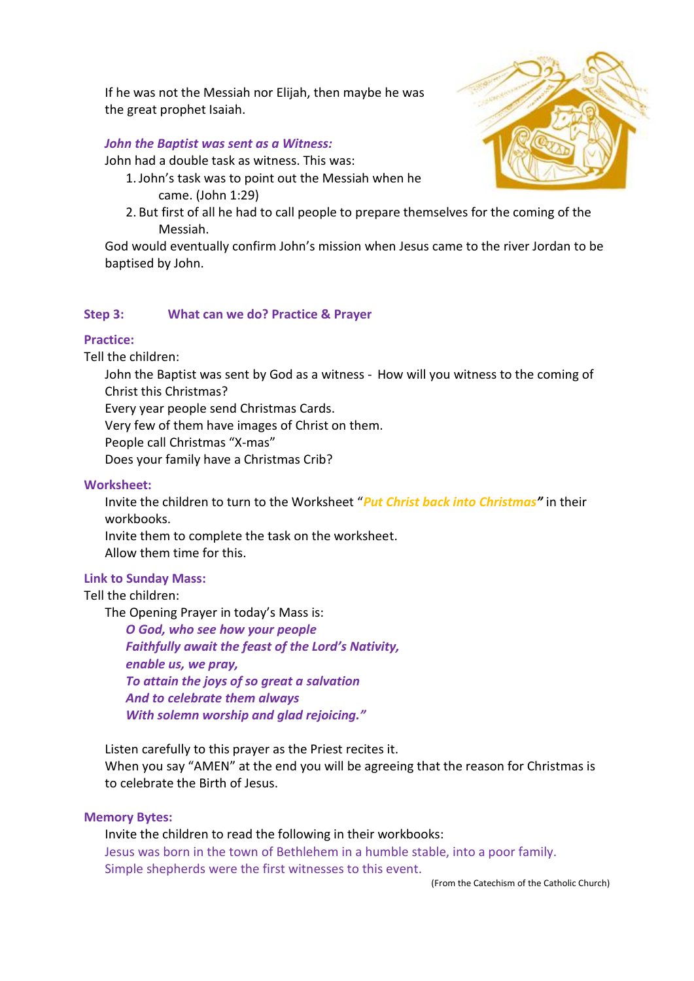If he was not the Messiah nor Elijah, then maybe he was the great prophet Isaiah.

#### *John the Baptist was sent as a Witness:*

John had a double task as witness. This was:

- 1.John's task was to point out the Messiah when he came. (John 1:29)
- 2. But first of all he had to call people to prepare themselves for the coming of the Messiah.

God would eventually confirm John's mission when Jesus came to the river Jordan to be baptised by John.

#### **Step 3: What can we do? Practice & Prayer**

#### **Practice:**

Tell the children:

John the Baptist was sent by God as a witness - How will you witness to the coming of Christ this Christmas?

Every year people send Christmas Cards.

Very few of them have images of Christ on them.

People call Christmas "X-mas"

Does your family have a Christmas Crib?

#### **Worksheet:**

Invite the children to turn to the Worksheet "*Put Christ back into Christmas"* in their workbooks.

Invite them to complete the task on the worksheet.

Allow them time for this.

#### **Link to Sunday Mass:**

#### Tell the children:

The Opening Prayer in today's Mass is:

*O God, who see how your people Faithfully await the feast of the Lord's Nativity, enable us, we pray, To attain the joys of so great a salvation And to celebrate them always With solemn worship and glad rejoicing."*

Listen carefully to this prayer as the Priest recites it. When you say "AMEN" at the end you will be agreeing that the reason for Christmas is to celebrate the Birth of Jesus.

#### **Memory Bytes:**

Invite the children to read the following in their workbooks: Jesus was born in the town of Bethlehem in a humble stable, into a poor family. Simple shepherds were the first witnesses to this event.

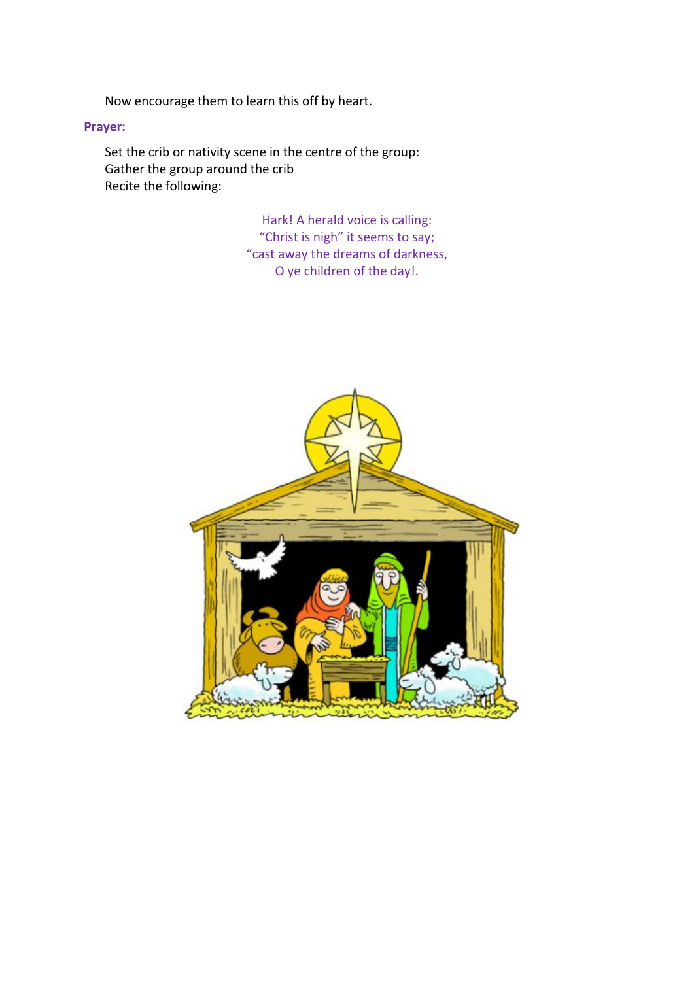Now encourage them to learn this off by heart.

## **Prayer:**

Set the crib or nativity scene in the centre of the group: Gather the group around the crib Recite the following:

> Hark! A herald voice is calling: "Christ is nigh" it seems to say; "cast away the dreams of darkness, O ye children of the day!.